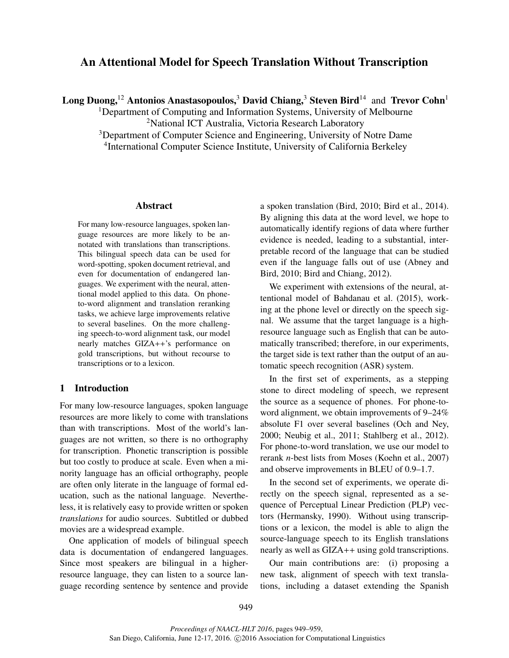# An Attentional Model for Speech Translation Without Transcription

Long Duong,<sup>12</sup> Antonios Anastasopoulos,<sup>3</sup> David Chiang,<sup>3</sup> Steven Bird<sup>14</sup> and Trevor Cohn<sup>1</sup>

<sup>1</sup>Department of Computing and Information Systems, University of Melbourne <sup>2</sup>National ICT Australia, Victoria Research Laboratory

<sup>3</sup>Department of Computer Science and Engineering, University of Notre Dame 4 International Computer Science Institute, University of California Berkeley

#### Abstract

For many low-resource languages, spoken language resources are more likely to be annotated with translations than transcriptions. This bilingual speech data can be used for word-spotting, spoken document retrieval, and even for documentation of endangered languages. We experiment with the neural, attentional model applied to this data. On phoneto-word alignment and translation reranking tasks, we achieve large improvements relative to several baselines. On the more challenging speech-to-word alignment task, our model nearly matches GIZA++'s performance on gold transcriptions, but without recourse to transcriptions or to a lexicon.

# 1 Introduction

For many low-resource languages, spoken language resources are more likely to come with translations than with transcriptions. Most of the world's languages are not written, so there is no orthography for transcription. Phonetic transcription is possible but too costly to produce at scale. Even when a minority language has an official orthography, people are often only literate in the language of formal education, such as the national language. Nevertheless, it is relatively easy to provide written or spoken *translations* for audio sources. Subtitled or dubbed movies are a widespread example.

One application of models of bilingual speech data is documentation of endangered languages. Since most speakers are bilingual in a higherresource language, they can listen to a source language recording sentence by sentence and provide a spoken translation (Bird, 2010; Bird et al., 2014). By aligning this data at the word level, we hope to automatically identify regions of data where further evidence is needed, leading to a substantial, interpretable record of the language that can be studied even if the language falls out of use (Abney and Bird, 2010; Bird and Chiang, 2012).

We experiment with extensions of the neural, attentional model of Bahdanau et al. (2015), working at the phone level or directly on the speech signal. We assume that the target language is a highresource language such as English that can be automatically transcribed; therefore, in our experiments, the target side is text rather than the output of an automatic speech recognition (ASR) system.

In the first set of experiments, as a stepping stone to direct modeling of speech, we represent the source as a sequence of phones. For phone-toword alignment, we obtain improvements of 9–24% absolute F1 over several baselines (Och and Ney, 2000; Neubig et al., 2011; Stahlberg et al., 2012). For phone-to-word translation, we use our model to rerank *n*-best lists from Moses (Koehn et al., 2007) and observe improvements in BLEU of 0.9–1.7.

In the second set of experiments, we operate directly on the speech signal, represented as a sequence of Perceptual Linear Prediction (PLP) vectors (Hermansky, 1990). Without using transcriptions or a lexicon, the model is able to align the source-language speech to its English translations nearly as well as GIZA++ using gold transcriptions.

Our main contributions are: (i) proposing a new task, alignment of speech with text translations, including a dataset extending the Spanish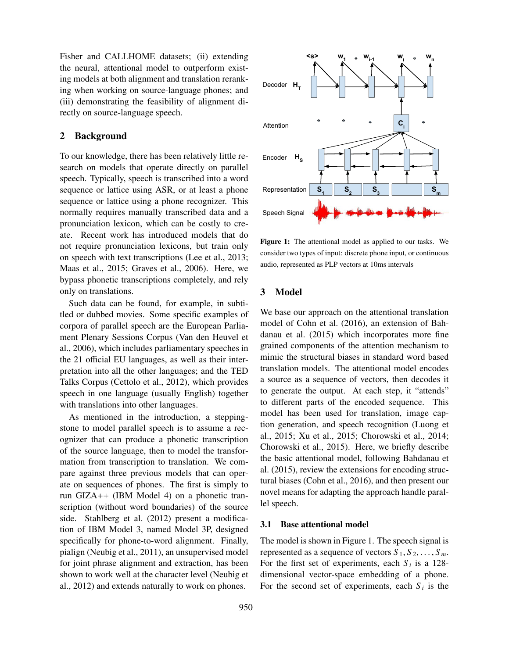Fisher and CALLHOME datasets; (ii) extending the neural, attentional model to outperform existing models at both alignment and translation reranking when working on source-language phones; and (iii) demonstrating the feasibility of alignment directly on source-language speech.

## 2 Background

To our knowledge, there has been relatively little research on models that operate directly on parallel speech. Typically, speech is transcribed into a word sequence or lattice using ASR, or at least a phone sequence or lattice using a phone recognizer. This normally requires manually transcribed data and a pronunciation lexicon, which can be costly to create. Recent work has introduced models that do not require pronunciation lexicons, but train only on speech with text transcriptions (Lee et al., 2013; Maas et al., 2015; Graves et al., 2006). Here, we bypass phonetic transcriptions completely, and rely only on translations.

Such data can be found, for example, in subtitled or dubbed movies. Some specific examples of corpora of parallel speech are the European Parliament Plenary Sessions Corpus (Van den Heuvel et al., 2006), which includes parliamentary speeches in the 21 official EU languages, as well as their interpretation into all the other languages; and the TED Talks Corpus (Cettolo et al., 2012), which provides speech in one language (usually English) together with translations into other languages.

As mentioned in the introduction, a steppingstone to model parallel speech is to assume a recognizer that can produce a phonetic transcription of the source language, then to model the transformation from transcription to translation. We compare against three previous models that can operate on sequences of phones. The first is simply to run GIZA++ (IBM Model 4) on a phonetic transcription (without word boundaries) of the source side. Stahlberg et al. (2012) present a modification of IBM Model 3, named Model 3P, designed specifically for phone-to-word alignment. Finally, pialign (Neubig et al., 2011), an unsupervised model for joint phrase alignment and extraction, has been shown to work well at the character level (Neubig et al., 2012) and extends naturally to work on phones.



Figure 1: The attentional model as applied to our tasks. We consider two types of input: discrete phone input, or continuous audio, represented as PLP vectors at 10ms intervals

# 3 Model

We base our approach on the attentional translation model of Cohn et al. (2016), an extension of Bahdanau et al. (2015) which incorporates more fine grained components of the attention mechanism to mimic the structural biases in standard word based translation models. The attentional model encodes a source as a sequence of vectors, then decodes it to generate the output. At each step, it "attends" to different parts of the encoded sequence. This model has been used for translation, image caption generation, and speech recognition (Luong et al., 2015; Xu et al., 2015; Chorowski et al., 2014; Chorowski et al., 2015). Here, we briefly describe the basic attentional model, following Bahdanau et al. (2015), review the extensions for encoding structural biases (Cohn et al., 2016), and then present our novel means for adapting the approach handle parallel speech.

### 3.1 Base attentional model

The model is shown in Figure 1. The speech signal is represented as a sequence of vectors  $S_1, S_2, \ldots, S_m$ . For the first set of experiments, each  $S_i$  is a 128dimensional vector-space embedding of a phone. For the second set of experiments, each  $S_i$  is the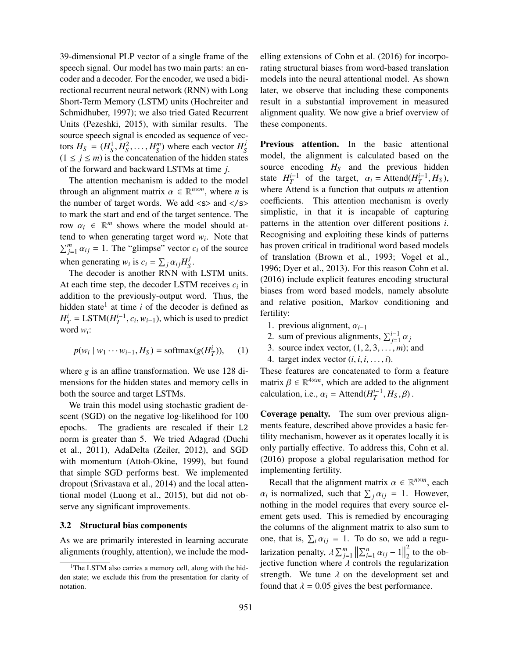39-dimensional PLP vector of a single frame of the speech signal. Our model has two main parts: an encoder and a decoder. For the encoder, we used a bidirectional recurrent neural network (RNN) with Long Short-Term Memory (LSTM) units (Hochreiter and Schmidhuber, 1997); we also tried Gated Recurrent Units (Pezeshki, 2015), with similar results. The source speech signal is encoded as sequence of vectors  $H_S = (H_S^1, H_S^2, \dots, H_S^m)$  where each vector  $H_S^j$ *S*  $(1 \le j \le m)$  is the concatenation of the hidden states of the forward and backward LSTMs at time *j*.

The attention mechanism is added to the model through an alignment matrix  $\alpha \in \mathbb{R}^{n \times m}$ , where *n* is the number of target words. We add  $\langle s \rangle$  and  $\langle s \rangle$ to mark the start and end of the target sentence. The row  $\alpha_i \in \mathbb{R}^m$  shows where the model should attend to when generating target word *w<sup>i</sup>* . Note that  $\sum_{j=1}^{m} \alpha_{ij} = 1$ . The "glimpse" vector *c<sub>i</sub>* of the source when generating  $w_i$  is  $c_i = \sum_j \alpha_{ij} H_S^j$ *S* .

The decoder is another RNN with LSTM units. At each time step, the decoder LSTM receives *c<sup>i</sup>* in addition to the previously-output word. Thus, the hidden state<sup>1</sup> at time  $i$  of the decoder is defined as  $H_T^i = \text{LSTM}(H_T^{i-1}, c_i, w_{i-1})$ , which is used to predict word *w<sup>i</sup>* :

$$
p(w_i \mid w_1 \cdots w_{i-1}, H_S) = \text{softmax}(g(H_T^i)), \quad (1)
$$

where *g* is an affine transformation. We use 128 dimensions for the hidden states and memory cells in both the source and target LSTMs.

We train this model using stochastic gradient descent (SGD) on the negative log-likelihood for 100 epochs. The gradients are rescaled if their L2 norm is greater than 5. We tried Adagrad (Duchi et al., 2011), AdaDelta (Zeiler, 2012), and SGD with momentum (Attoh-Okine, 1999), but found that simple SGD performs best. We implemented dropout (Srivastava et al., 2014) and the local attentional model (Luong et al., 2015), but did not observe any significant improvements.

#### 3.2 Structural bias components

As we are primarily interested in learning accurate alignments (roughly, attention), we include the modelling extensions of Cohn et al. (2016) for incorporating structural biases from word-based translation models into the neural attentional model. As shown later, we observe that including these components result in a substantial improvement in measured alignment quality. We now give a brief overview of these components.

Previous attention. In the basic attentional model, the alignment is calculated based on the source encoding *H<sup>S</sup>* and the previous hidden state  $H_T^{i-1}$  of the target,  $\alpha_i = \text{Attend}(H_T^{i-1}, H_S)$ , where Attend is a function that outputs *m* attention coefficients. This attention mechanism is overly simplistic, in that it is incapable of capturing patterns in the attention over different positions *i*. Recognising and exploiting these kinds of patterns has proven critical in traditional word based models of translation (Brown et al., 1993; Vogel et al., 1996; Dyer et al., 2013). For this reason Cohn et al. (2016) include explicit features encoding structural biases from word based models, namely absolute and relative position, Markov conditioning and fertility:

- 1. previous alignment, α*i*−<sup>1</sup>
- 2. sum of previous alignments,  $\sum_{j=1}^{i-1} \alpha_j$
- 3. source index vector,  $(1, 2, 3, \ldots, m)$ ; and
- 4. target index vector  $(i, i, i, \ldots, i)$ .

These features are concatenated to form a feature matrix  $\beta \in \mathbb{R}^{4 \times m}$ , which are added to the alignment calculation, i.e.,  $\alpha_i = \text{Attention}(H_T^{i-1}, H_S, \beta)$ .

Coverage penalty. The sum over previous alignments feature, described above provides a basic fertility mechanism, however as it operates locally it is only partially effective. To address this, Cohn et al. (2016) propose a global regularisation method for implementing fertility.

Recall that the alignment matrix  $\alpha \in \mathbb{R}^{n \times m}$ , each  $\alpha_i$  is normalized, such that  $\sum_j \alpha_{ij} = 1$ . However, nothing in the model requires that every source element gets used. This is remedied by encouraging the columns of the alignment matrix to also sum to one, that is,  $\sum_i \alpha_{ij} = 1$ . To do so, we add a regularization penalty,  $\lambda \sum_{j=1}^{m} ||\sum_{i=1}^{n} \alpha_{ij} - 1||$ 2  $\frac{2}{2}$  to the objective function where  $\lambda$  controls the regularization strength. We tune  $\lambda$  on the development set and found that  $\lambda = 0.05$  gives the best performance.

<sup>&</sup>lt;sup>1</sup>The LSTM also carries a memory cell, along with the hidden state; we exclude this from the presentation for clarity of notation.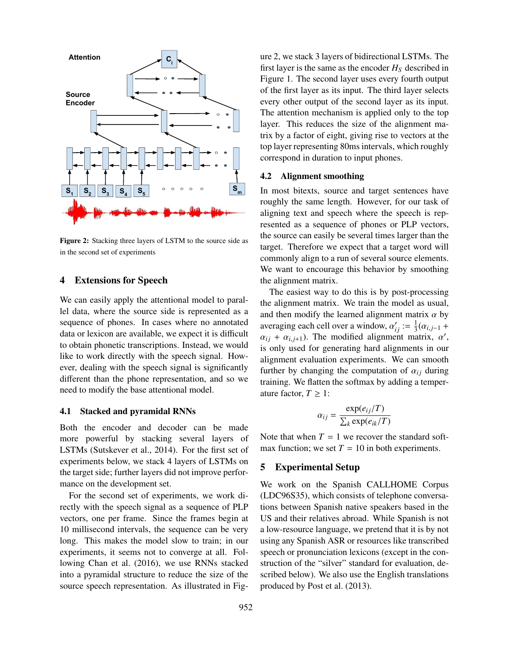

Figure 2: Stacking three layers of LSTM to the source side as in the second set of experiments

# 4 Extensions for Speech

We can easily apply the attentional model to parallel data, where the source side is represented as a sequence of phones. In cases where no annotated data or lexicon are available, we expect it is difficult to obtain phonetic transcriptions. Instead, we would like to work directly with the speech signal. However, dealing with the speech signal is significantly different than the phone representation, and so we need to modify the base attentional model.

## 4.1 Stacked and pyramidal RNNs

Both the encoder and decoder can be made more powerful by stacking several layers of LSTMs (Sutskever et al., 2014). For the first set of experiments below, we stack 4 layers of LSTMs on the target side; further layers did not improve performance on the development set.

For the second set of experiments, we work directly with the speech signal as a sequence of PLP vectors, one per frame. Since the frames begin at 10 millisecond intervals, the sequence can be very long. This makes the model slow to train; in our experiments, it seems not to converge at all. Following Chan et al. (2016), we use RNNs stacked into a pyramidal structure to reduce the size of the source speech representation. As illustrated in Figure 2, we stack 3 layers of bidirectional LSTMs. The first layer is the same as the encoder  $H<sub>S</sub>$  described in Figure 1. The second layer uses every fourth output of the first layer as its input. The third layer selects every other output of the second layer as its input. The attention mechanism is applied only to the top layer. This reduces the size of the alignment matrix by a factor of eight, giving rise to vectors at the top layer representing 80ms intervals, which roughly correspond in duration to input phones.

### 4.2 Alignment smoothing

In most bitexts, source and target sentences have roughly the same length. However, for our task of aligning text and speech where the speech is represented as a sequence of phones or PLP vectors, the source can easily be several times larger than the target. Therefore we expect that a target word will commonly align to a run of several source elements. We want to encourage this behavior by smoothing the alignment matrix.

The easiest way to do this is by post-processing the alignment matrix. We train the model as usual, and then modify the learned alignment matrix  $\alpha$  by averaging each cell over a window,  $\alpha'_{ij} := \frac{1}{3}$  $\frac{1}{3}(\alpha_{i,j-1} +$  $\alpha_{ij} + \alpha_{i,j+1}$ ). The modified alignment matrix,  $\alpha'$ , is only used for generating hard alignments in our alignment evaluation experiments. We can smooth further by changing the computation of  $\alpha_{ij}$  during training. We flatten the softmax by adding a temperature factor,  $T \geq 1$ :

$$
\alpha_{ij} = \frac{\exp(e_{ij}/T)}{\sum_{k} \exp(e_{ik}/T)}
$$

Note that when  $T = 1$  we recover the standard softmax function; we set  $T = 10$  in both experiments.

## 5 Experimental Setup

We work on the Spanish CALLHOME Corpus (LDC96S35), which consists of telephone conversations between Spanish native speakers based in the US and their relatives abroad. While Spanish is not a low-resource language, we pretend that it is by not using any Spanish ASR or resources like transcribed speech or pronunciation lexicons (except in the construction of the "silver" standard for evaluation, described below). We also use the English translations produced by Post et al. (2013).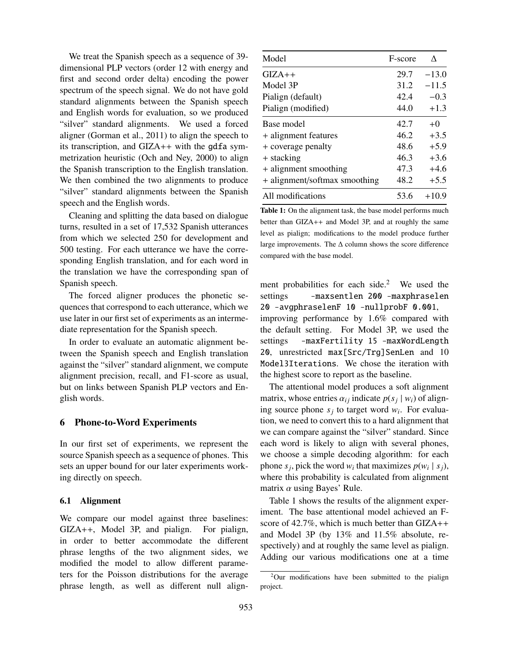We treat the Spanish speech as a sequence of 39 dimensional PLP vectors (order 12 with energy and first and second order delta) encoding the power spectrum of the speech signal. We do not have gold standard alignments between the Spanish speech and English words for evaluation, so we produced "silver" standard alignments. We used a forced aligner (Gorman et al., 2011) to align the speech to its transcription, and GIZA++ with the gdfa symmetrization heuristic (Och and Ney, 2000) to align the Spanish transcription to the English translation. We then combined the two alignments to produce "silver" standard alignments between the Spanish speech and the English words.

Cleaning and splitting the data based on dialogue turns, resulted in a set of 17,532 Spanish utterances from which we selected 250 for development and 500 testing. For each utterance we have the corresponding English translation, and for each word in the translation we have the corresponding span of Spanish speech.

The forced aligner produces the phonetic sequences that correspond to each utterance, which we use later in our first set of experiments as an intermediate representation for the Spanish speech.

In order to evaluate an automatic alignment between the Spanish speech and English translation against the "silver" standard alignment, we compute alignment precision, recall, and F1-score as usual, but on links between Spanish PLP vectors and English words.

# 6 Phone-to-Word Experiments

In our first set of experiments, we represent the source Spanish speech as a sequence of phones. This sets an upper bound for our later experiments working directly on speech.

#### 6.1 Alignment

We compare our model against three baselines: GIZA++, Model 3P, and pialign. For pialign, in order to better accommodate the different phrase lengths of the two alignment sides, we modified the model to allow different parameters for the Poisson distributions for the average phrase length, as well as different null align-

| Model                         | F-score | Λ       |
|-------------------------------|---------|---------|
| $GIZA++$                      | 29.7    | $-13.0$ |
| Model 3P                      | 31.2    | $-11.5$ |
| Pialign (default)             | 42.4    | $-0.3$  |
| Pialign (modified)            | 44.0    | $+1.3$  |
| Base model                    | 42.7    | $+0$    |
| + alignment features          | 46.2    | $+3.5$  |
| + coverage penalty            | 48.6    | $+5.9$  |
| + stacking                    | 46.3    | $+3.6$  |
| + alignment smoothing         | 47.3    | $+4.6$  |
| + alignment/softmax smoothing | 48.2    | $+5.5$  |
| All modifications             | 53.6    | $+10.9$ |

Table 1: On the alignment task, the base model performs much better than GIZA++ and Model 3P, and at roughly the same level as pialign; modifications to the model produce further large improvements. The ∆ column shows the score difference compared with the base model.

ment probabilities for each side.<sup>2</sup> We used the settings -maxsentlen 200 -maxphraselen 20 -avgphraselenF 10 -nullprobF 0.001, improving performance by 1.6% compared with the default setting. For Model 3P, we used the settings -maxFertility 15 -maxWordLength 20, unrestricted max[Src/Trg]SenLen and 10 Model3Iterations. We chose the iteration with the highest score to report as the baseline.

The attentional model produces a soft alignment matrix, whose entries  $\alpha_{ij}$  indicate  $p(s_j | w_i)$  of aligning source phone  $s_j$  to target word  $w_i$ . For evaluation, we need to convert this to a hard alignment that we can compare against the "silver" standard. Since each word is likely to align with several phones, we choose a simple decoding algorithm: for each phone  $s_j$ , pick the word  $w_i$  that maximizes  $p(w_i \mid s_j)$ , where this probability is calculated from alignment matrix  $\alpha$  using Bayes' Rule.

Table 1 shows the results of the alignment experiment. The base attentional model achieved an Fscore of 42.7%, which is much better than GIZA++ and Model 3P (by 13% and 11.5% absolute, respectively) and at roughly the same level as pialign. Adding our various modifications one at a time

 $2$ Our modifications have been submitted to the pialign project.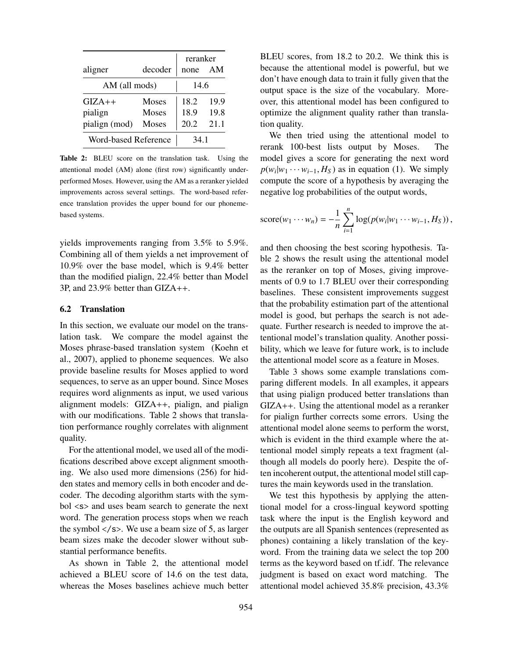|                      |              | reranker |      |
|----------------------|--------------|----------|------|
| aligner              | decoder      | none     | AM   |
| AM (all mods)        |              | 14.6     |      |
| $GIZA++$             | <b>Moses</b> | 18.2     | 19.9 |
| pialign              | <b>Moses</b> | 18.9     | 19.8 |
| pialign (mod)        | Moses        | 20.2     | 21 1 |
| Word-based Reference |              | 34 1     |      |

Table 2: BLEU score on the translation task. Using the attentional model (AM) alone (first row) significantly underperformed Moses. However, using the AM as a reranker yielded improvements across several settings. The word-based reference translation provides the upper bound for our phonemebased systems.

yields improvements ranging from 3.5% to 5.9%. Combining all of them yields a net improvement of 10.9% over the base model, which is 9.4% better than the modified pialign, 22.4% better than Model 3P, and 23.9% better than GIZA++.

#### 6.2 Translation

In this section, we evaluate our model on the translation task. We compare the model against the Moses phrase-based translation system (Koehn et al., 2007), applied to phoneme sequences. We also provide baseline results for Moses applied to word sequences, to serve as an upper bound. Since Moses requires word alignments as input, we used various alignment models: GIZA++, pialign, and pialign with our modifications. Table 2 shows that translation performance roughly correlates with alignment quality.

For the attentional model, we used all of the modifications described above except alignment smoothing. We also used more dimensions (256) for hidden states and memory cells in both encoder and decoder. The decoding algorithm starts with the symbol <s> and uses beam search to generate the next word. The generation process stops when we reach the symbol  $\langle$ /s>. We use a beam size of 5, as larger beam sizes make the decoder slower without substantial performance benefits.

As shown in Table 2, the attentional model achieved a BLEU score of 14.6 on the test data, whereas the Moses baselines achieve much better BLEU scores, from 18.2 to 20.2. We think this is because the attentional model is powerful, but we don't have enough data to train it fully given that the output space is the size of the vocabulary. Moreover, this attentional model has been configured to optimize the alignment quality rather than translation quality.

We then tried using the attentional model to rerank 100-best lists output by Moses. The model gives a score for generating the next word  $p(w_i|w_1 \cdots w_{i-1}, H_S)$  as in equation (1). We simply compute the score of a hypothesis by averaging the negative log probabilities of the output words,

score
$$
(w_1 \cdots w_n)
$$
 =  $-\frac{1}{n} \sum_{i=1}^n \log(p(w_i|w_1 \cdots w_{i-1}, H_S)),$ 

and then choosing the best scoring hypothesis. Table 2 shows the result using the attentional model as the reranker on top of Moses, giving improvements of 0.9 to 1.7 BLEU over their corresponding baselines. These consistent improvements suggest that the probability estimation part of the attentional model is good, but perhaps the search is not adequate. Further research is needed to improve the attentional model's translation quality. Another possibility, which we leave for future work, is to include the attentional model score as a feature in Moses.

Table 3 shows some example translations comparing different models. In all examples, it appears that using pialign produced better translations than GIZA++. Using the attentional model as a reranker for pialign further corrects some errors. Using the attentional model alone seems to perform the worst, which is evident in the third example where the attentional model simply repeats a text fragment (although all models do poorly here). Despite the often incoherent output, the attentional model still captures the main keywords used in the translation.

We test this hypothesis by applying the attentional model for a cross-lingual keyword spotting task where the input is the English keyword and the outputs are all Spanish sentences (represented as phones) containing a likely translation of the keyword. From the training data we select the top 200 terms as the keyword based on tf.idf. The relevance judgment is based on exact word matching. The attentional model achieved 35.8% precision, 43.3%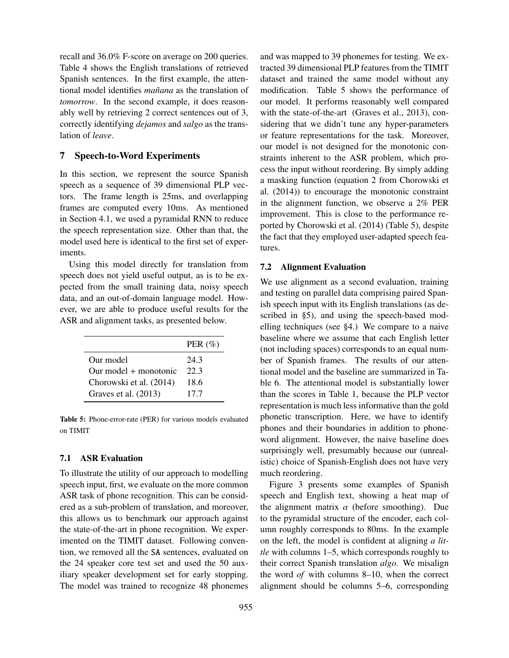recall and 36.0% F-score on average on 200 queries. Table 4 shows the English translations of retrieved Spanish sentences. In the first example, the attentional model identifies *ma˜nana* as the translation of *tomorrow*. In the second example, it does reasonably well by retrieving 2 correct sentences out of 3, correctly identifying *dejamos* and *salgo* as the translation of *leave*.

# 7 Speech-to-Word Experiments

In this section, we represent the source Spanish speech as a sequence of 39 dimensional PLP vectors. The frame length is 25ms, and overlapping frames are computed every 10ms. As mentioned in Section 4.1, we used a pyramidal RNN to reduce the speech representation size. Other than that, the model used here is identical to the first set of experiments.

Using this model directly for translation from speech does not yield useful output, as is to be expected from the small training data, noisy speech data, and an out-of-domain language model. However, we are able to produce useful results for the ASR and alignment tasks, as presented below.

|                         | PER $(\% )$ |
|-------------------------|-------------|
| Our model               | 24.3        |
| $Our model + monotonic$ | 22 3        |
| Chorowski et al. (2014) | 18.6        |
| Graves et al. (2013)    | 17.7        |

Table 5: Phone-error-rate (PER) for various models evaluated on TIMIT

#### 7.1 ASR Evaluation

To illustrate the utility of our approach to modelling speech input, first, we evaluate on the more common ASR task of phone recognition. This can be considered as a sub-problem of translation, and moreover, this allows us to benchmark our approach against the state-of-the-art in phone recognition. We experimented on the TIMIT dataset. Following convention, we removed all the SA sentences, evaluated on the 24 speaker core test set and used the 50 auxiliary speaker development set for early stopping. The model was trained to recognize 48 phonemes and was mapped to 39 phonemes for testing. We extracted 39 dimensional PLP features from the TIMIT dataset and trained the same model without any modification. Table 5 shows the performance of our model. It performs reasonably well compared with the state-of-the-art (Graves et al., 2013), considering that we didn't tune any hyper-parameters or feature representations for the task. Moreover, our model is not designed for the monotonic constraints inherent to the ASR problem, which process the input without reordering. By simply adding a masking function (equation 2 from Chorowski et al. (2014)) to encourage the monotonic constraint in the alignment function, we observe a 2% PER improvement. This is close to the performance reported by Chorowski et al. (2014) (Table 5), despite the fact that they employed user-adapted speech features.

#### 7.2 Alignment Evaluation

We use alignment as a second evaluation, training and testing on parallel data comprising paired Spanish speech input with its English translations (as described in §5), and using the speech-based modelling techniques (see §4.) We compare to a naive baseline where we assume that each English letter (not including spaces) corresponds to an equal number of Spanish frames. The results of our attentional model and the baseline are summarized in Table 6. The attentional model is substantially lower than the scores in Table 1, because the PLP vector representation is much less informative than the gold phonetic transcription. Here, we have to identify phones and their boundaries in addition to phoneword alignment. However, the naive baseline does surprisingly well, presumably because our (unrealistic) choice of Spanish-English does not have very much reordering.

Figure 3 presents some examples of Spanish speech and English text, showing a heat map of the alignment matrix  $\alpha$  (before smoothing). Due to the pyramidal structure of the encoder, each column roughly corresponds to 80ms. In the example on the left, the model is confident at aligning *a little* with columns 1–5, which corresponds roughly to their correct Spanish translation *algo*. We misalign the word *of* with columns 8–10, when the correct alignment should be columns 5–6, corresponding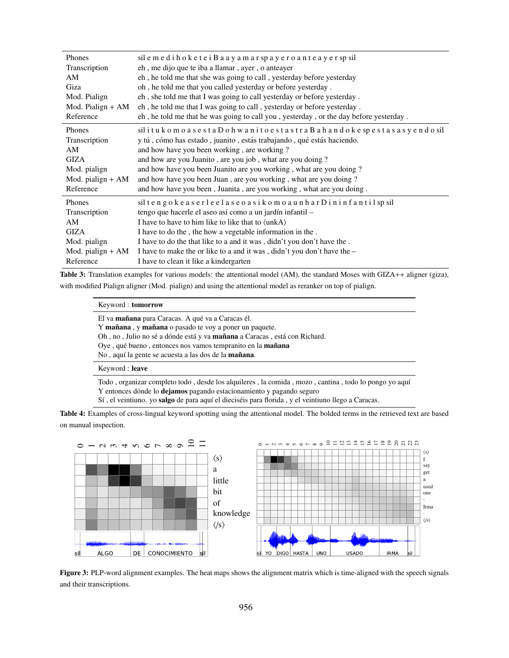| Phones              | sil e m e di h o k e t e i B a a y a m a r sp a y e r o a n t e a y e r sp sil        |
|---------------------|---------------------------------------------------------------------------------------|
| Transcription       | eh, me dijo que te iba a llamar, ayer, o anteayer                                     |
| AM                  | eh, he told me that she was going to call, yesterday before yesterday                 |
| Giza                | oh, he told me that you called yesterday or before yesterday.                         |
| Mod. Pialign        | eh, she told me that I was going to call yesterday or before yesterday.               |
| Mod. Pialign $+ AM$ | eh, he told me that I was going to call, yesterday or before yesterday.               |
| Reference           | eh, he told me that he was going to call you, yesterday, or the day before yesterday. |
| Phones              | sil i tukomo a se sta Dohwani to e sta stra Bahandoke spesta sa syendo sil            |
| Transcription       | y tú, cómo has estado, juanito, estás trabajando, qué estás haciendo.                 |
| AM                  | and how have you been working, are working?                                           |
| <b>GIZA</b>         | and how are you Juanito, are you job, what are you doing?                             |
| Mod. pialign        | and how have you been Juanito are you working, what are you doing?                    |
| Mod. pialign $+AM$  | and how have you been Juan, are you working, what are you doing?                      |
| Reference           | and how have you been, Juanita, are you working, what are you doing.                  |
| Phones              | sil tengokeas erleelas eo as ikomoaunhar Dininfantil sp sil                           |
| Transcription       | tengo que hacerle el aseo así como a un jardín infantil -                             |
| AM                  | I have to have to him like to like that to $\langle \text{unkA} \rangle$              |
| <b>GIZA</b>         | I have to do the, the how a vegetable information in the.                             |
| Mod. pialign        | I have to do the that like to a and it was, didn't you don't have the.                |
| Mod. pialign $+ AM$ | I have to make the or like to a and it was, didn't you don't have the -               |
| Reference           | I have to clean it like a kindergarten                                                |

Table 3: Translation examples for various models: the attentional model (AM), the standard Moses with GIZA++ aligner (giza), with modified Pialign aligner (Mod. pialign) and using the attentional model as reranker on top of pialign.

#### Keyword : tomorrow

El va mañana para Caracas. A qué va a Caracas él.

Y mañana, y mañana o pasado te voy a poner un paquete.

Oh, no, Julio no sé a dónde está y va mañana a Caracas, está con Richard.

Oye, qué bueno, entonces nos vamos tempranito en la mañana

No, aquí la gente se acuesta a las dos de la mañana.

#### Keyword : leave

Todo , organizar completo todo , desde los alquileres , la comida , mozo , cantina , todo lo pongo yo aqu´ı Y entonces dónde lo dejamos pagando estacionamiento y pagando seguro Sí, el veintiuno. yo salgo de para aquí el dieciséis para florida, y el veintiuno llego a Caracas.

Table 4: Examples of cross-lingual keyword spotting using the attentional model. The bolded terms in the retrieved text are based on manual inspection.



Figure 3: PLP-word alignment examples. The heat maps shows the alignment matrix which is time-aligned with the speech signals and their transcriptions.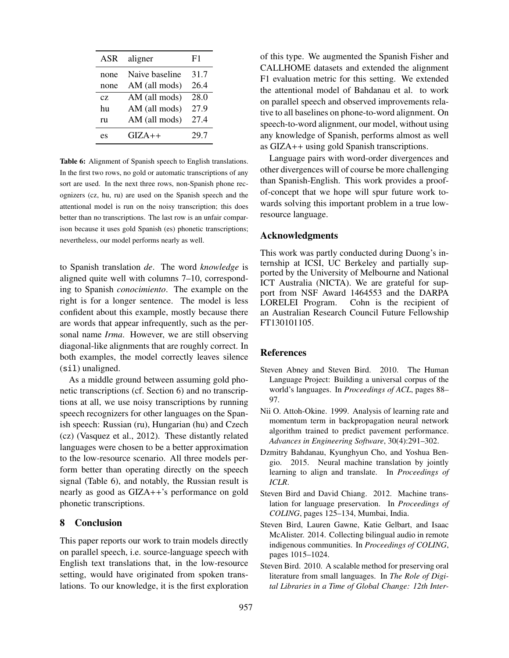| ASR  | aligner        | F1   |
|------|----------------|------|
| none | Naive baseline | 31.7 |
| none | AM (all mods)  | 26.4 |
| CZ.  | AM (all mods)  | 28.0 |
| hu   | AM (all mods)  | 27.9 |
| ru   | AM (all mods)  | 27.4 |
| es   | $GIZA++$       | 29.7 |

Table 6: Alignment of Spanish speech to English translations. In the first two rows, no gold or automatic transcriptions of any sort are used. In the next three rows, non-Spanish phone recognizers (cz, hu, ru) are used on the Spanish speech and the attentional model is run on the noisy transcription; this does better than no transcriptions. The last row is an unfair comparison because it uses gold Spanish (es) phonetic transcriptions; nevertheless, our model performs nearly as well.

to Spanish translation *de*. The word *knowledge* is aligned quite well with columns 7–10, corresponding to Spanish *conocimiento*. The example on the right is for a longer sentence. The model is less confident about this example, mostly because there are words that appear infrequently, such as the personal name *Irma*. However, we are still observing diagonal-like alignments that are roughly correct. In both examples, the model correctly leaves silence (sil) unaligned.

As a middle ground between assuming gold phonetic transcriptions (cf. Section 6) and no transcriptions at all, we use noisy transcriptions by running speech recognizers for other languages on the Spanish speech: Russian (ru), Hungarian (hu) and Czech (cz) (Vasquez et al., 2012). These distantly related languages were chosen to be a better approximation to the low-resource scenario. All three models perform better than operating directly on the speech signal (Table 6), and notably, the Russian result is nearly as good as GIZA++'s performance on gold phonetic transcriptions.

# 8 Conclusion

This paper reports our work to train models directly on parallel speech, i.e. source-language speech with English text translations that, in the low-resource setting, would have originated from spoken translations. To our knowledge, it is the first exploration of this type. We augmented the Spanish Fisher and CALLHOME datasets and extended the alignment F1 evaluation metric for this setting. We extended the attentional model of Bahdanau et al. to work on parallel speech and observed improvements relative to all baselines on phone-to-word alignment. On speech-to-word alignment, our model, without using any knowledge of Spanish, performs almost as well as GIZA++ using gold Spanish transcriptions.

Language pairs with word-order divergences and other divergences will of course be more challenging than Spanish-English. This work provides a proofof-concept that we hope will spur future work towards solving this important problem in a true lowresource language.

## Acknowledgments

This work was partly conducted during Duong's internship at ICSI, UC Berkeley and partially supported by the University of Melbourne and National ICT Australia (NICTA). We are grateful for support from NSF Award 1464553 and the DARPA LORELEI Program. Cohn is the recipient of an Australian Research Council Future Fellowship FT130101105.

## References

- Steven Abney and Steven Bird. 2010. The Human Language Project: Building a universal corpus of the world's languages. In *Proceedings of ACL*, pages 88– 97.
- Nii O. Attoh-Okine. 1999. Analysis of learning rate and momentum term in backpropagation neural network algorithm trained to predict pavement performance. *Advances in Engineering Software*, 30(4):291–302.
- Dzmitry Bahdanau, Kyunghyun Cho, and Yoshua Bengio. 2015. Neural machine translation by jointly learning to align and translate. In *Proceedings of ICLR*.
- Steven Bird and David Chiang. 2012. Machine translation for language preservation. In *Proceedings of COLING*, pages 125–134, Mumbai, India.
- Steven Bird, Lauren Gawne, Katie Gelbart, and Isaac McAlister. 2014. Collecting bilingual audio in remote indigenous communities. In *Proceedings of COLING*, pages 1015–1024.
- Steven Bird. 2010. A scalable method for preserving oral literature from small languages. In *The Role of Digital Libraries in a Time of Global Change: 12th Inter-*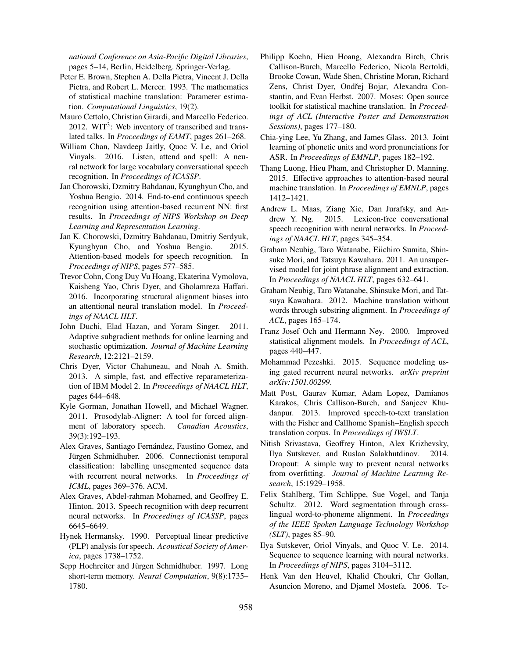*national Conference on Asia-Pacific Digital Libraries*, pages 5–14, Berlin, Heidelberg. Springer-Verlag.

- Peter E. Brown, Stephen A. Della Pietra, Vincent J. Della Pietra, and Robert L. Mercer. 1993. The mathematics of statistical machine translation: Parameter estimation. *Computational Linguistics*, 19(2).
- Mauro Cettolo, Christian Girardi, and Marcello Federico. 2012. WIT<sup>3</sup>: Web inventory of transcribed and translated talks. In *Proceedings of EAMT*, pages 261–268.
- William Chan, Navdeep Jaitly, Quoc V. Le, and Oriol Vinyals. 2016. Listen, attend and spell: A neural network for large vocabulary conversational speech recognition. In *Proceedings of ICASSP*.
- Jan Chorowski, Dzmitry Bahdanau, Kyunghyun Cho, and Yoshua Bengio. 2014. End-to-end continuous speech recognition using attention-based recurrent NN: first results. In *Proceedings of NIPS Workshop on Deep Learning and Representation Learning*.
- Jan K. Chorowski, Dzmitry Bahdanau, Dmitriy Serdyuk, Kyunghyun Cho, and Yoshua Bengio. 2015. Attention-based models for speech recognition. In *Proceedings of NIPS*, pages 577–585.
- Trevor Cohn, Cong Duy Vu Hoang, Ekaterina Vymolova, Kaisheng Yao, Chris Dyer, and Gholamreza Haffari. 2016. Incorporating structural alignment biases into an attentional neural translation model. In *Proceedings of NAACL HLT*.
- John Duchi, Elad Hazan, and Yoram Singer. 2011. Adaptive subgradient methods for online learning and stochastic optimization. *Journal of Machine Learning Research*, 12:2121–2159.
- Chris Dyer, Victor Chahuneau, and Noah A. Smith. 2013. A simple, fast, and effective reparameterization of IBM Model 2. In *Proceedings of NAACL HLT*, pages 644–648.
- Kyle Gorman, Jonathan Howell, and Michael Wagner. 2011. Prosodylab-Aligner: A tool for forced alignment of laboratory speech. *Canadian Acoustics*, 39(3):192–193.
- Alex Graves, Santiago Fernández, Faustino Gomez, and Jürgen Schmidhuber. 2006. Connectionist temporal classification: labelling unsegmented sequence data with recurrent neural networks. In *Proceedings of ICML*, pages 369–376. ACM.
- Alex Graves, Abdel-rahman Mohamed, and Geoffrey E. Hinton. 2013. Speech recognition with deep recurrent neural networks. In *Proceedings of ICASSP*, pages 6645–6649.
- Hynek Hermansky. 1990. Perceptual linear predictive (PLP) analysis for speech. *Acoustical Society of America*, pages 1738–1752.
- Sepp Hochreiter and Jürgen Schmidhuber. 1997. Long short-term memory. *Neural Computation*, 9(8):1735– 1780.
- Philipp Koehn, Hieu Hoang, Alexandra Birch, Chris Callison-Burch, Marcello Federico, Nicola Bertoldi, Brooke Cowan, Wade Shen, Christine Moran, Richard Zens, Christ Dyer, Ondřej Bojar, Alexandra Constantin, and Evan Herbst. 2007. Moses: Open source toolkit for statistical machine translation. In *Proceedings of ACL (Interactive Poster and Demonstration Sessions)*, pages 177–180.
- Chia-ying Lee, Yu Zhang, and James Glass. 2013. Joint learning of phonetic units and word pronunciations for ASR. In *Proceedings of EMNLP*, pages 182–192.
- Thang Luong, Hieu Pham, and Christopher D. Manning. 2015. Effective approaches to attention-based neural machine translation. In *Proceedings of EMNLP*, pages 1412–1421.
- Andrew L. Maas, Ziang Xie, Dan Jurafsky, and Andrew Y. Ng. 2015. Lexicon-free conversational speech recognition with neural networks. In *Proceedings of NAACL HLT*, pages 345–354.
- Graham Neubig, Taro Watanabe, Eiichiro Sumita, Shinsuke Mori, and Tatsuya Kawahara. 2011. An unsupervised model for joint phrase alignment and extraction. In *Proceedings of NAACL HLT*, pages 632–641.
- Graham Neubig, Taro Watanabe, Shinsuke Mori, and Tatsuya Kawahara. 2012. Machine translation without words through substring alignment. In *Proceedings of ACL*, pages 165–174.
- Franz Josef Och and Hermann Ney. 2000. Improved statistical alignment models. In *Proceedings of ACL*, pages 440–447.
- Mohammad Pezeshki. 2015. Sequence modeling using gated recurrent neural networks. *arXiv preprint arXiv:1501.00299*.
- Matt Post, Gaurav Kumar, Adam Lopez, Damianos Karakos, Chris Callison-Burch, and Sanjeev Khudanpur. 2013. Improved speech-to-text translation with the Fisher and Callhome Spanish–English speech translation corpus. In *Proceedings of IWSLT*.
- Nitish Srivastava, Geoffrey Hinton, Alex Krizhevsky, Ilya Sutskever, and Ruslan Salakhutdinov. 2014. Dropout: A simple way to prevent neural networks from overfitting. *Journal of Machine Learning Research*, 15:1929–1958.
- Felix Stahlberg, Tim Schlippe, Sue Vogel, and Tanja Schultz. 2012. Word segmentation through crosslingual word-to-phoneme alignment. In *Proceedings of the IEEE Spoken Language Technology Workshop (SLT)*, pages 85–90.
- Ilya Sutskever, Oriol Vinyals, and Quoc V. Le. 2014. Sequence to sequence learning with neural networks. In *Proceedings of NIPS*, pages 3104–3112.
- Henk Van den Heuvel, Khalid Choukri, Chr Gollan, Asuncion Moreno, and Djamel Mostefa. 2006. Tc-